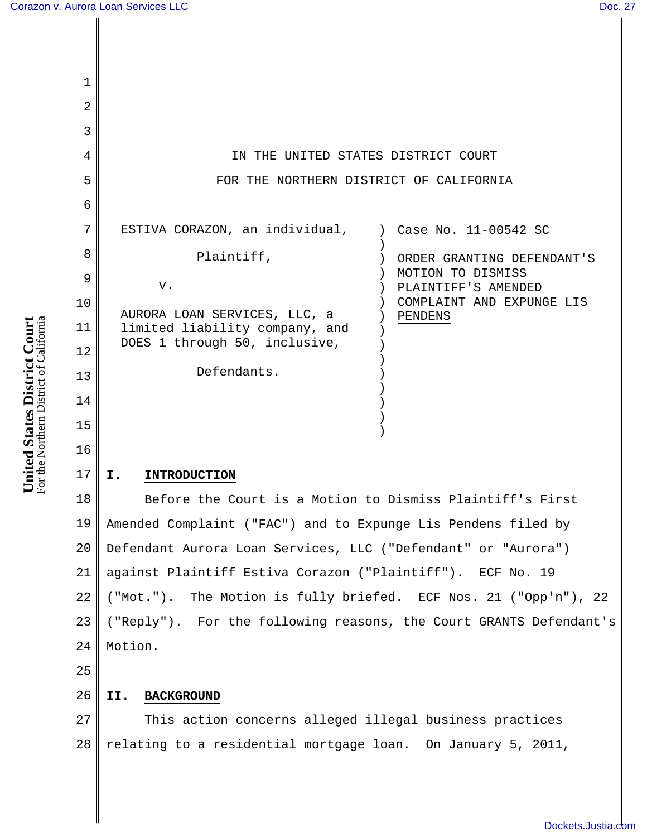| 1              |                                                                           |
|----------------|---------------------------------------------------------------------------|
| $\overline{2}$ |                                                                           |
| 3              |                                                                           |
| 4              | IN THE UNITED STATES DISTRICT COURT                                       |
| 5              | FOR THE NORTHERN DISTRICT OF CALIFORNIA                                   |
| 6              |                                                                           |
| 7              | ESTIVA CORAZON, an individual, ) Case No. 11-00542 SC                     |
| 8              | Plaintiff,<br>ORDER GRANTING DEFENDANT'S                                  |
| 9              | MOTION TO DISMISS<br>v.<br>PLAINTIFF'S AMENDED                            |
| 10             | COMPLAINT AND EXPUNGE LIS                                                 |
| 11             | AURORA LOAN SERVICES, LLC, a<br>PENDENS<br>limited liability company, and |
| 12             | DOES 1 through 50, inclusive,                                             |
| 13             | Defendants.                                                               |
| 14             |                                                                           |
| 15             |                                                                           |
|                |                                                                           |

# **I. INTRODUCTION**

18 19 20 21 22 23 24 Before the Court is a Motion to Dismiss Plaintiff's First Amended Complaint ("FAC") and to Expunge Lis Pendens filed by Defendant Aurora Loan Services, LLC ("Defendant" or "Aurora") against Plaintiff Estiva Corazon ("Plaintiff"). ECF No. 19 ("Mot."). The Motion is fully briefed. ECF Nos. 21 ("Opp'n"), 22 ("Reply"). For the following reasons, the Court GRANTS Defendant's Motion.

25

16

17

### 26 **II. BACKGROUND**

27 28 This action concerns alleged illegal business practices relating to a residential mortgage loan. On January 5, 2011,

For the Northern District of California United States District Court<br>For the Northern District of California **United States District Court**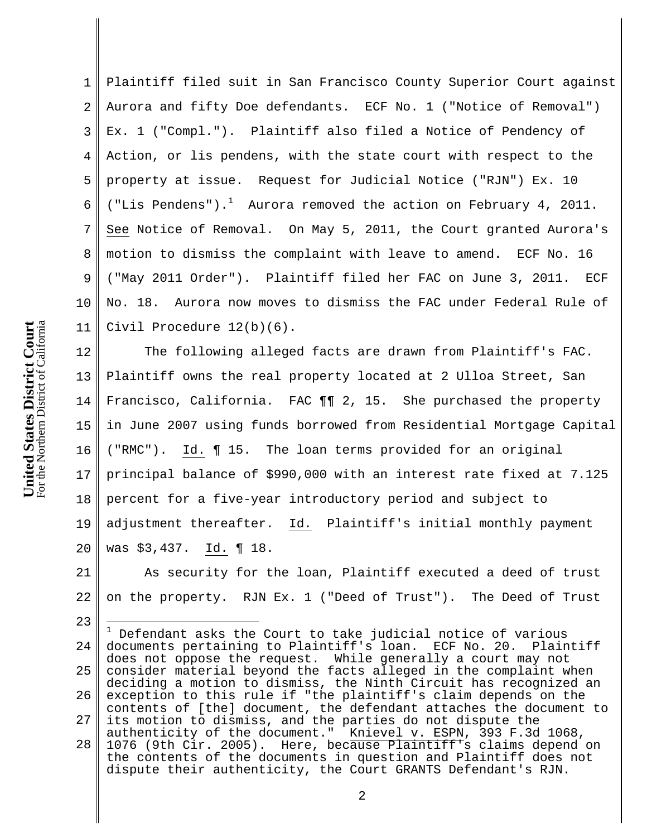1 2 3 4 5 6 7 8 9 10 11 Plaintiff filed suit in San Francisco County Superior Court against Aurora and fifty Doe defendants. ECF No. 1 ("Notice of Removal") Ex. 1 ("Compl."). Plaintiff also filed a Notice of Pendency of Action, or lis pendens, with the state court with respect to the property at issue. Request for Judicial Notice ("RJN") Ex. 10 ("Lis Pendens").<sup>1</sup> Aurora removed the action on February 4, 2011. See Notice of Removal. On May 5, 2011, the Court granted Aurora's motion to dismiss the complaint with leave to amend. ECF No. 16 ("May 2011 Order"). Plaintiff filed her FAC on June 3, 2011. ECF No. 18. Aurora now moves to dismiss the FAC under Federal Rule of Civil Procedure 12(b)(6).

12 13 14 15 16 17 18 19 20 The following alleged facts are drawn from Plaintiff's FAC. Plaintiff owns the real property located at 2 Ulloa Street, San Francisco, California. FAC ¶¶ 2, 15. She purchased the property in June 2007 using funds borrowed from Residential Mortgage Capital ("RMC"). Id. ¶ 15. The loan terms provided for an original principal balance of \$990,000 with an interest rate fixed at 7.125 percent for a five-year introductory period and subject to adjustment thereafter. Id. Plaintiff's initial monthly payment was \$3,437. Id. ¶ 18.

21 22 As security for the loan, Plaintiff executed a deed of trust on the property. RJN Ex. 1 ("Deed of Trust"). The Deed of Trust

24 25 26 27 28  $^1$  Defendant asks the Court to take judicial notice of various documents pertaining to Plaintiff's loan. ECF No. 20. Plaintiff does not oppose the request. While generally a court may not consider material beyond the facts alleged in the complaint when deciding a motion to dismiss, the Ninth Circuit has recognized an exception to this rule if "the plaintiff's claim depends on the contents of [the] document, the defendant attaches the document to its motion to dismiss, and the parties do not dispute the authenticity of the document." Knievel v. ESPN, 393 F.3d 1068, 1076 (9th Cir. 2005). Here, because Plaintiff's claims depend on the contents of the documents in question and Plaintiff does not dispute their authenticity, the Court GRANTS Defendant's RJN.

23

 $\overline{a}$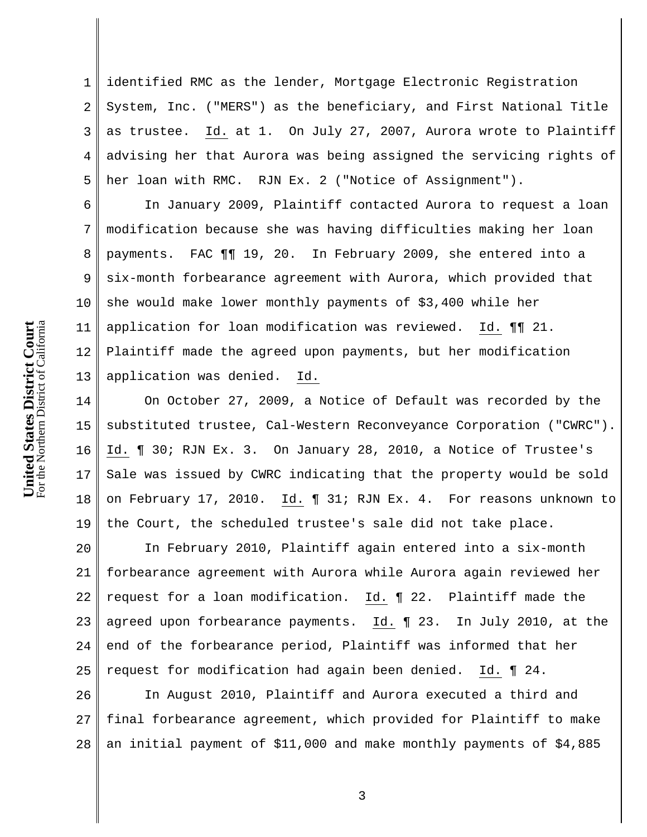For the Northern District of California United States District Court<br>For the Northern District of California **United States District Court**

1 2 3 4 5 identified RMC as the lender, Mortgage Electronic Registration System, Inc. ("MERS") as the beneficiary, and First National Title as trustee. Id. at 1. On July 27, 2007, Aurora wrote to Plaintiff advising her that Aurora was being assigned the servicing rights of her loan with RMC. RJN Ex. 2 ("Notice of Assignment").

6 7 8 9 10 11 12 13 In January 2009, Plaintiff contacted Aurora to request a loan modification because she was having difficulties making her loan payments. FAC ¶¶ 19, 20. In February 2009, she entered into a six-month forbearance agreement with Aurora, which provided that she would make lower monthly payments of \$3,400 while her application for loan modification was reviewed. Id. ¶¶ 21. Plaintiff made the agreed upon payments, but her modification application was denied. Id.

14 15 16 17 18 19 On October 27, 2009, a Notice of Default was recorded by the substituted trustee, Cal-Western Reconveyance Corporation ("CWRC"). Id. ¶ 30; RJN Ex. 3. On January 28, 2010, a Notice of Trustee's Sale was issued by CWRC indicating that the property would be sold on February 17, 2010. Id. ¶ 31; RJN Ex. 4. For reasons unknown to the Court, the scheduled trustee's sale did not take place.

20 21 22 23 24 25 In February 2010, Plaintiff again entered into a six-month forbearance agreement with Aurora while Aurora again reviewed her request for a loan modification. Id. ¶ 22. Plaintiff made the agreed upon forbearance payments. Id. ¶ 23. In July 2010, at the end of the forbearance period, Plaintiff was informed that her request for modification had again been denied. Id. ¶ 24.

26 27 28 In August 2010, Plaintiff and Aurora executed a third and final forbearance agreement, which provided for Plaintiff to make an initial payment of \$11,000 and make monthly payments of \$4,885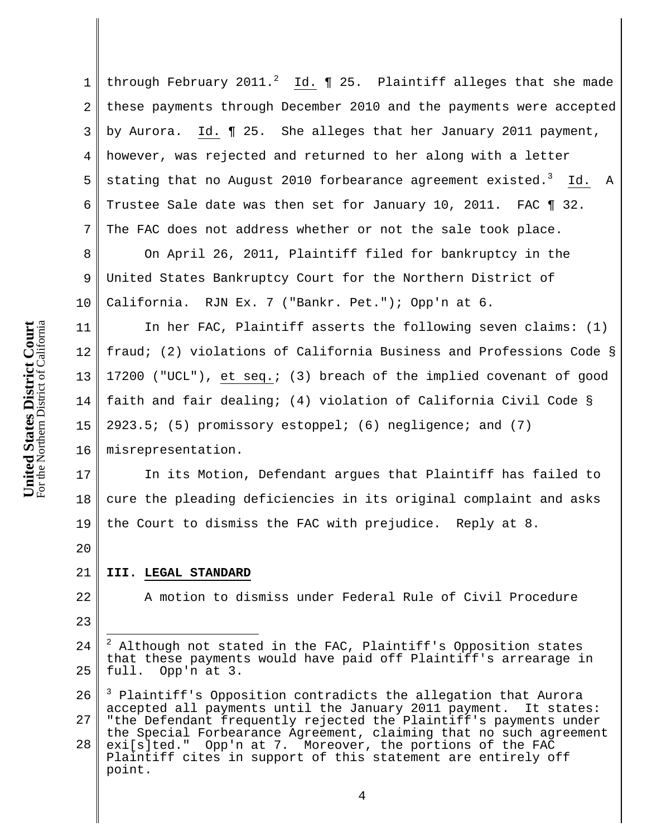1 2 3 4 through February 2011.<sup>2</sup> Id.  $\P$  25. Plaintiff alleges that she made these payments through December 2010 and the payments were accepted by Aurora. Id. ¶ 25. She alleges that her January 2011 payment, however, was rejected and returned to her along with a letter stating that no August 2010 forbearance agreement existed.<sup>3</sup> Id. A Trustee Sale date was then set for January 10, 2011. FAC ¶ 32. The FAC does not address whether or not the sale took place. On April 26, 2011, Plaintiff filed for bankruptcy in the

United States Bankruptcy Court for the Northern District of California. RJN Ex. 7 ("Bankr. Pet."); Opp'n at 6.

In her FAC, Plaintiff asserts the following seven claims: (1) fraud; (2) violations of California Business and Professions Code § 17200 ("UCL"), et seq.; (3) breach of the implied covenant of good faith and fair dealing; (4) violation of California Civil Code § 2923.5; (5) promissory estoppel; (6) negligence; and (7)

misrepresentation.

19 In its Motion, Defendant argues that Plaintiff has failed to cure the pleading deficiencies in its original complaint and asks the Court to dismiss the FAC with prejudice. Reply at 8.

20

### 21 **III. LEGAL STANDARD**

22 23 A motion to dismiss under Federal Rule of Civil Procedure

<sup>24</sup> 25  $\overline{a}$  $2$  Although not stated in the FAC, Plaintiff's Opposition states that these payments would have paid off Plaintiff's arrearage in full. Opp'n at 3.

<sup>26</sup> 27 <sup>3</sup> Plaintiff's Opposition contradicts the allegation that Aurora accepted all payments until the January 2011 payment. It states: "the Defendant frequently rejected the Plaintiff's payments under

<sup>28</sup> the Special Forbearance Agreement, claiming that no such agreement exi[s]ted." Opp'n at 7. Moreover, the portions of the FAC Plaintiff cites in support of this statement are entirely off point.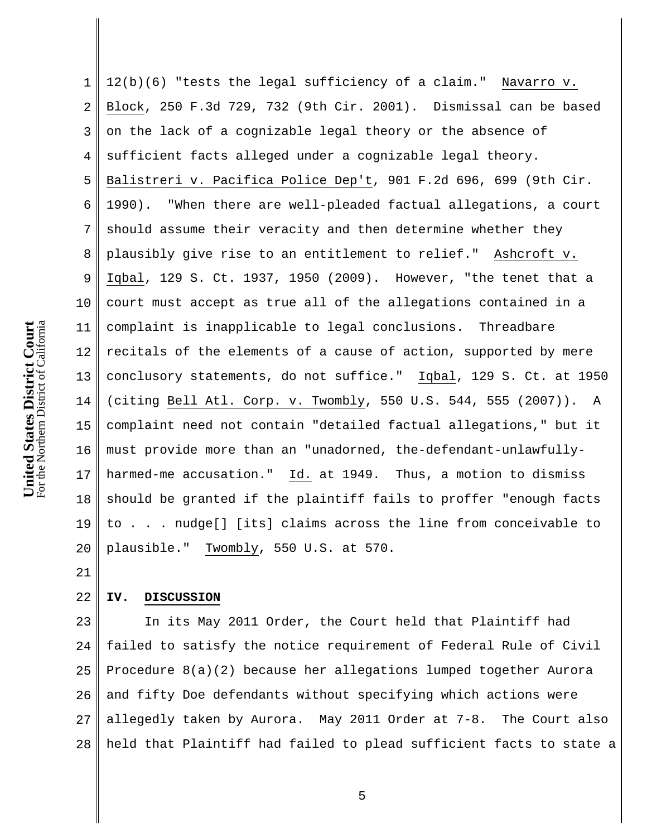1 2 3 4 5 6 7 8 9 10 11 12 13 14 15 16 17 18 19 20 12(b)(6) "tests the legal sufficiency of a claim." Navarro v. Block, 250 F.3d 729, 732 (9th Cir. 2001). Dismissal can be based on the lack of a cognizable legal theory or the absence of sufficient facts alleged under a cognizable legal theory. Balistreri v. Pacifica Police Dep't, 901 F.2d 696, 699 (9th Cir. 1990). "When there are well-pleaded factual allegations, a court should assume their veracity and then determine whether they plausibly give rise to an entitlement to relief." Ashcroft v. Iqbal, 129 S. Ct. 1937, 1950 (2009). However, "the tenet that a court must accept as true all of the allegations contained in a complaint is inapplicable to legal conclusions. Threadbare recitals of the elements of a cause of action, supported by mere conclusory statements, do not suffice." Iqbal, 129 S. Ct. at 1950 (citing Bell Atl. Corp. v. Twombly, 550 U.S. 544, 555 (2007)). A complaint need not contain "detailed factual allegations," but it must provide more than an "unadorned, the-defendant-unlawfullyharmed-me accusation." Id. at 1949. Thus, a motion to dismiss should be granted if the plaintiff fails to proffer "enough facts to . . . nudge[] [its] claims across the line from conceivable to plausible." Twombly, 550 U.S. at 570.

21

#### 22 **IV. DISCUSSION**

23 24 25 26 27 28 In its May 2011 Order, the Court held that Plaintiff had failed to satisfy the notice requirement of Federal Rule of Civil Procedure 8(a)(2) because her allegations lumped together Aurora and fifty Doe defendants without specifying which actions were allegedly taken by Aurora. May 2011 Order at 7-8. The Court also held that Plaintiff had failed to plead sufficient facts to state a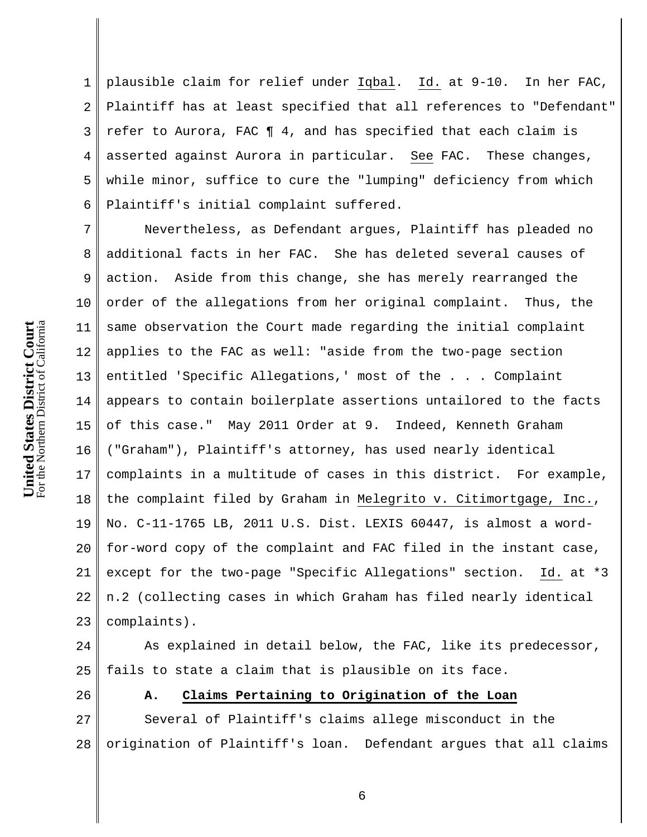1 2 3 4 5 6 plausible claim for relief under Iqbal. Id. at 9-10. In her FAC, Plaintiff has at least specified that all references to "Defendant" refer to Aurora, FAC ¶ 4, and has specified that each claim is asserted against Aurora in particular. See FAC. These changes, while minor, suffice to cure the "lumping" deficiency from which Plaintiff's initial complaint suffered.

7 8 9 10 11 12 13 14 15 16 17 18 19 20 21 22 23 Nevertheless, as Defendant argues, Plaintiff has pleaded no additional facts in her FAC. She has deleted several causes of action. Aside from this change, she has merely rearranged the order of the allegations from her original complaint. Thus, the same observation the Court made regarding the initial complaint applies to the FAC as well: "aside from the two-page section entitled 'Specific Allegations,' most of the . . . Complaint appears to contain boilerplate assertions untailored to the facts of this case." May 2011 Order at 9. Indeed, Kenneth Graham ("Graham"), Plaintiff's attorney, has used nearly identical complaints in a multitude of cases in this district. For example, the complaint filed by Graham in Melegrito v. Citimortgage, Inc., No. C-11-1765 LB, 2011 U.S. Dist. LEXIS 60447, is almost a wordfor-word copy of the complaint and FAC filed in the instant case, except for the two-page "Specific Allegations" section. Id. at \*3 n.2 (collecting cases in which Graham has filed nearly identical complaints).

24 25 As explained in detail below, the FAC, like its predecessor, fails to state a claim that is plausible on its face.

26

# **A. Claims Pertaining to Origination of the Loan**

27 28 Several of Plaintiff's claims allege misconduct in the origination of Plaintiff's loan. Defendant argues that all claims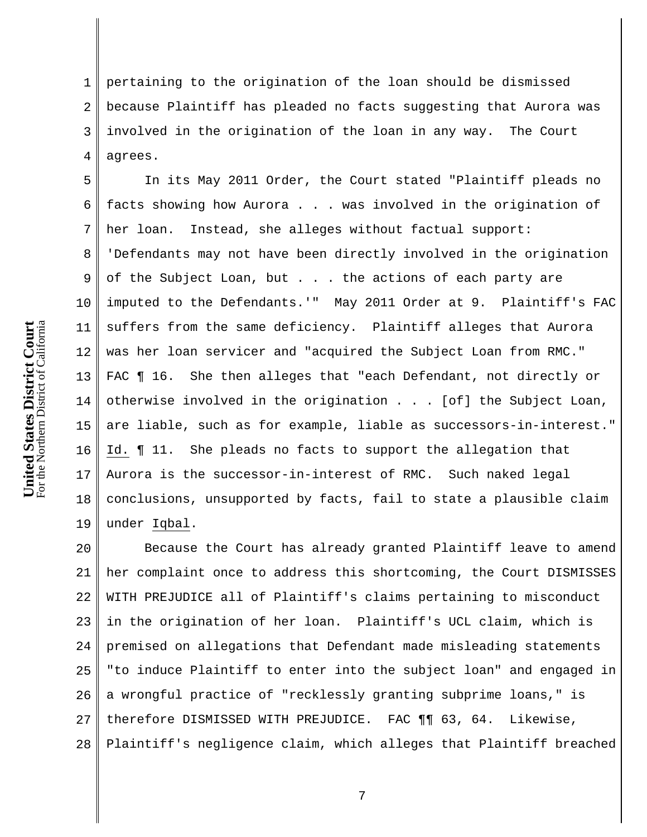For the Northern District of California United States District Court<br>For the Northern District of California **United States District Court**

1 2 3 4 pertaining to the origination of the loan should be dismissed because Plaintiff has pleaded no facts suggesting that Aurora was involved in the origination of the loan in any way. The Court agrees.

5 6 7 8 9 10 11 12 13 14 15 16 17 18 19 In its May 2011 Order, the Court stated "Plaintiff pleads no facts showing how Aurora . . . was involved in the origination of her loan. Instead, she alleges without factual support: 'Defendants may not have been directly involved in the origination of the Subject Loan, but . . . the actions of each party are imputed to the Defendants.'" May 2011 Order at 9. Plaintiff's FAC suffers from the same deficiency. Plaintiff alleges that Aurora was her loan servicer and "acquired the Subject Loan from RMC." FAC  $\P$  16. She then alleges that "each Defendant, not directly or otherwise involved in the origination . . . [of] the Subject Loan, are liable, such as for example, liable as successors-in-interest." Id. ¶ 11. She pleads no facts to support the allegation that Aurora is the successor-in-interest of RMC. Such naked legal conclusions, unsupported by facts, fail to state a plausible claim under Iqbal.

20 21 22 23 24 25 26 27 28 Because the Court has already granted Plaintiff leave to amend her complaint once to address this shortcoming, the Court DISMISSES WITH PREJUDICE all of Plaintiff's claims pertaining to misconduct in the origination of her loan. Plaintiff's UCL claim, which is premised on allegations that Defendant made misleading statements "to induce Plaintiff to enter into the subject loan" and engaged in a wrongful practice of "recklessly granting subprime loans," is therefore DISMISSED WITH PREJUDICE. FAC ¶¶ 63, 64. Likewise, Plaintiff's negligence claim, which alleges that Plaintiff breached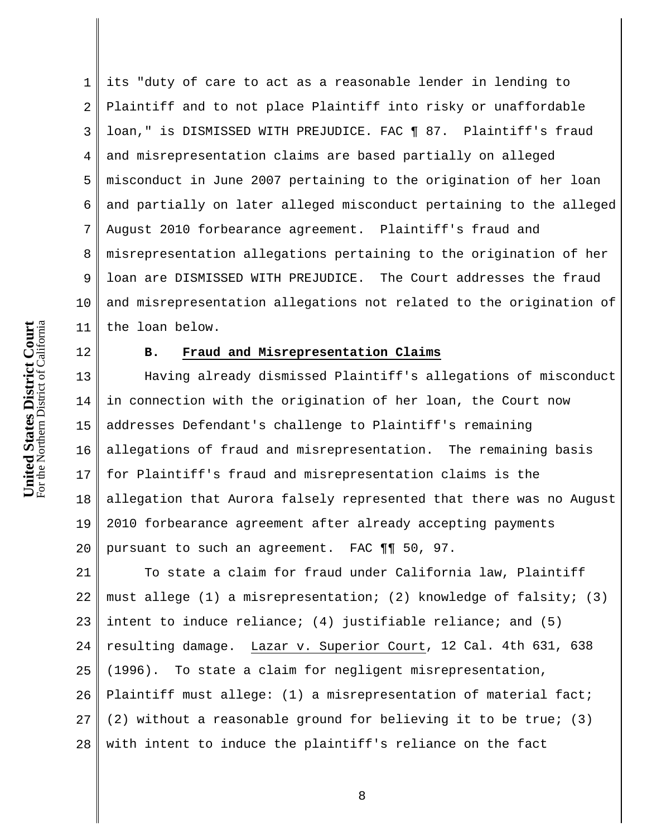1 2 3 4 5 6 7 8 9 10 11 its "duty of care to act as a reasonable lender in lending to Plaintiff and to not place Plaintiff into risky or unaffordable loan," is DISMISSED WITH PREJUDICE. FAC ¶ 87. Plaintiff's fraud and misrepresentation claims are based partially on alleged misconduct in June 2007 pertaining to the origination of her loan and partially on later alleged misconduct pertaining to the alleged August 2010 forbearance agreement. Plaintiff's fraud and misrepresentation allegations pertaining to the origination of her loan are DISMISSED WITH PREJUDICE. The Court addresses the fraud and misrepresentation allegations not related to the origination of the loan below.

For the Northern District of California United States District Court<br>For the Northern District of California **United States District Court**

12

## **B. Fraud and Misrepresentation Claims**

13 14 15 16 17 18 19 20 Having already dismissed Plaintiff's allegations of misconduct in connection with the origination of her loan, the Court now addresses Defendant's challenge to Plaintiff's remaining allegations of fraud and misrepresentation. The remaining basis for Plaintiff's fraud and misrepresentation claims is the allegation that Aurora falsely represented that there was no August 2010 forbearance agreement after already accepting payments pursuant to such an agreement. FAC ¶¶ 50, 97.

21 22 23 24 25 26 27 28 To state a claim for fraud under California law, Plaintiff must allege (1) a misrepresentation; (2) knowledge of falsity; (3) intent to induce reliance; (4) justifiable reliance; and (5) resulting damage. Lazar v. Superior Court, 12 Cal. 4th 631, 638 (1996). To state a claim for negligent misrepresentation, Plaintiff must allege: (1) a misrepresentation of material fact; (2) without a reasonable ground for believing it to be true; (3) with intent to induce the plaintiff's reliance on the fact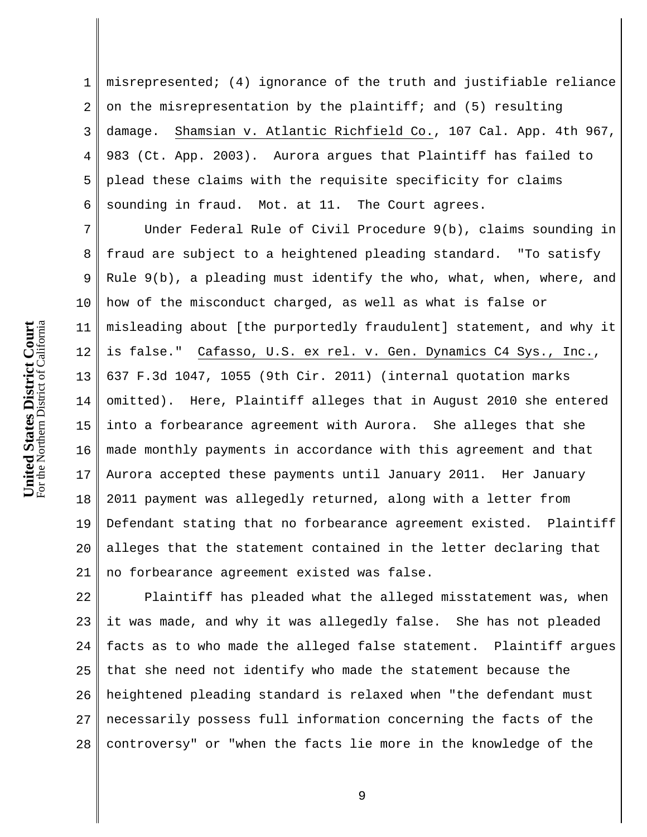1 2 3 4 5 6 misrepresented; (4) ignorance of the truth and justifiable reliance on the misrepresentation by the plaintiff; and (5) resulting damage. Shamsian v. Atlantic Richfield Co., 107 Cal. App. 4th 967, 983 (Ct. App. 2003). Aurora argues that Plaintiff has failed to plead these claims with the requisite specificity for claims sounding in fraud. Mot. at 11. The Court agrees.

7 8 9 10 11 12 13 14 15 16 17 18 19 20 21 Under Federal Rule of Civil Procedure 9(b), claims sounding in fraud are subject to a heightened pleading standard. "To satisfy Rule 9(b), a pleading must identify the who, what, when, where, and how of the misconduct charged, as well as what is false or misleading about [the purportedly fraudulent] statement, and why it is false." Cafasso, U.S. ex rel. v. Gen. Dynamics C4 Sys., Inc., 637 F.3d 1047, 1055 (9th Cir. 2011) (internal quotation marks omitted). Here, Plaintiff alleges that in August 2010 she entered into a forbearance agreement with Aurora. She alleges that she made monthly payments in accordance with this agreement and that Aurora accepted these payments until January 2011. Her January 2011 payment was allegedly returned, along with a letter from Defendant stating that no forbearance agreement existed. Plaintiff alleges that the statement contained in the letter declaring that no forbearance agreement existed was false.

22 23 24 25 26 27 28 Plaintiff has pleaded what the alleged misstatement was, when it was made, and why it was allegedly false. She has not pleaded facts as to who made the alleged false statement. Plaintiff argues that she need not identify who made the statement because the heightened pleading standard is relaxed when "the defendant must necessarily possess full information concerning the facts of the controversy" or "when the facts lie more in the knowledge of the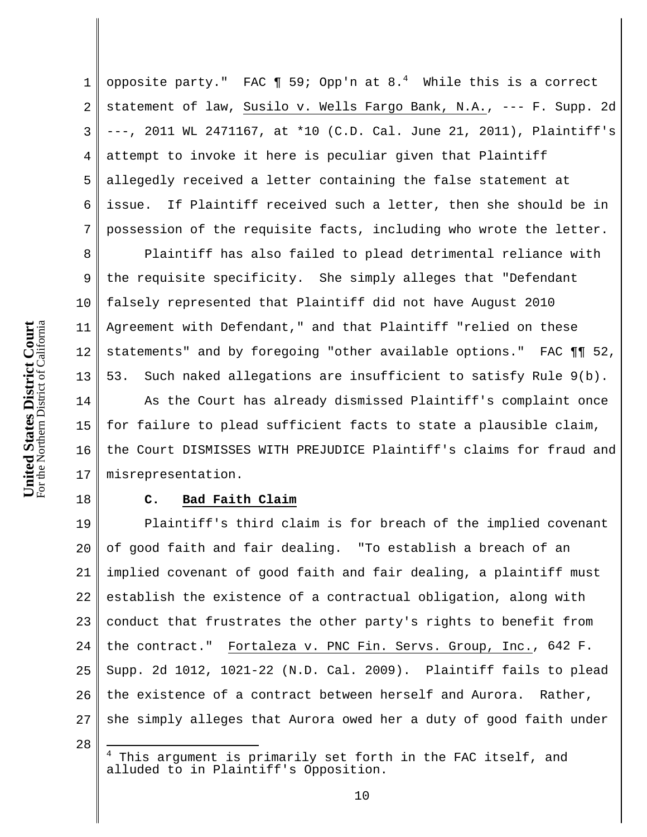6 7 8 9 10 For the Northern District of California United States District Court<br>For the Northern District of California **United States District Court** 11 12 13 14 15

1 2 3 4 5 opposite party." FAC  $\P$  59; Opp'n at 8.<sup>4</sup> While this is a correct statement of law, Susilo v. Wells Fargo Bank, N.A., --- F. Supp. 2d ---, 2011 WL 2471167, at \*10 (C.D. Cal. June 21, 2011), Plaintiff's attempt to invoke it here is peculiar given that Plaintiff allegedly received a letter containing the false statement at issue. If Plaintiff received such a letter, then she should be in possession of the requisite facts, including who wrote the letter.

16 17 Plaintiff has also failed to plead detrimental reliance with the requisite specificity. She simply alleges that "Defendant falsely represented that Plaintiff did not have August 2010 Agreement with Defendant," and that Plaintiff "relied on these statements" and by foregoing "other available options." FAC ¶¶ 52, 53. Such naked allegations are insufficient to satisfy Rule 9(b). As the Court has already dismissed Plaintiff's complaint once for failure to plead sufficient facts to state a plausible claim, the Court DISMISSES WITH PREJUDICE Plaintiff's claims for fraud and misrepresentation.

## 18

# **C. Bad Faith Claim**

19 20 21 22 23 24 25 26 27 Plaintiff's third claim is for breach of the implied covenant of good faith and fair dealing. "To establish a breach of an implied covenant of good faith and fair dealing, a plaintiff must establish the existence of a contractual obligation, along with conduct that frustrates the other party's rights to benefit from the contract." Fortaleza v. PNC Fin. Servs. Group, Inc., 642 F. Supp. 2d 1012, 1021-22 (N.D. Cal. 2009). Plaintiff fails to plead the existence of a contract between herself and Aurora. Rather, she simply alleges that Aurora owed her a duty of good faith under

 $\overline{a}$ 

<sup>28</sup>

<sup>4</sup> This argument is primarily set forth in the FAC itself, and alluded to in Plaintiff's Opposition.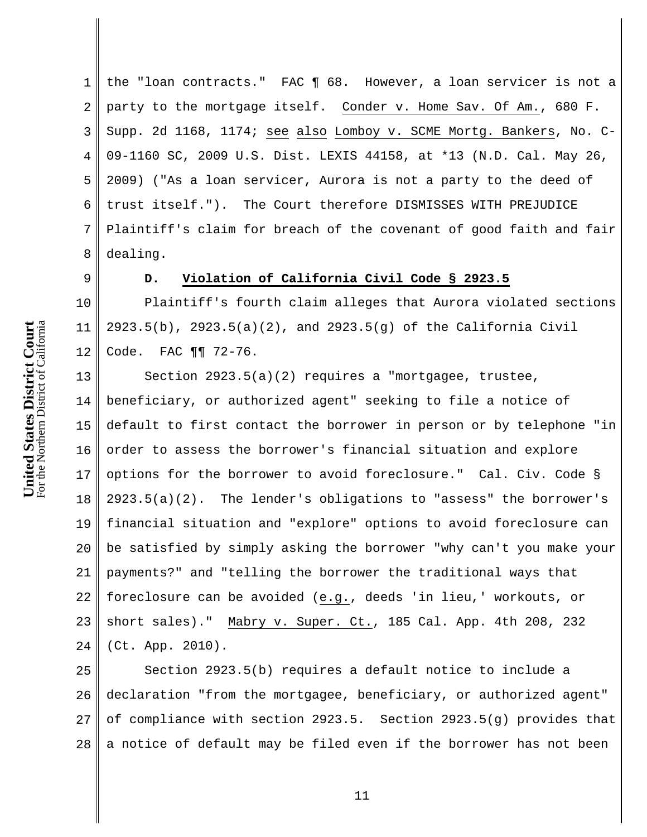1 2 3 4 5 6 7 8 the "loan contracts." FAC ¶ 68. However, a loan servicer is not a party to the mortgage itself. Conder v. Home Sav. Of Am., 680 F. Supp. 2d 1168, 1174; see also Lomboy v. SCME Mortg. Bankers, No. C-09-1160 SC, 2009 U.S. Dist. LEXIS 44158, at \*13 (N.D. Cal. May 26, 2009) ("As a loan servicer, Aurora is not a party to the deed of trust itself."). The Court therefore DISMISSES WITH PREJUDICE Plaintiff's claim for breach of the covenant of good faith and fair dealing.

9

11

# **D. Violation of California Civil Code § 2923.5**

10 12 Plaintiff's fourth claim alleges that Aurora violated sections 2923.5(b), 2923.5(a)(2), and 2923.5(g) of the California Civil Code. FAC ¶¶ 72-76.

13 14 15 16 17 18 19 20 21 22 23 24 Section 2923.5(a)(2) requires a "mortgagee, trustee, beneficiary, or authorized agent" seeking to file a notice of default to first contact the borrower in person or by telephone "in order to assess the borrower's financial situation and explore options for the borrower to avoid foreclosure." Cal. Civ. Code § 2923.5(a)(2). The lender's obligations to "assess" the borrower's financial situation and "explore" options to avoid foreclosure can be satisfied by simply asking the borrower "why can't you make your payments?" and "telling the borrower the traditional ways that foreclosure can be avoided (e.g., deeds 'in lieu,' workouts, or short sales)." Mabry v. Super. Ct., 185 Cal. App. 4th 208, 232 (Ct. App. 2010).

25 26 27 28 Section 2923.5(b) requires a default notice to include a declaration "from the mortgagee, beneficiary, or authorized agent" of compliance with section 2923.5. Section 2923.5(g) provides that a notice of default may be filed even if the borrower has not been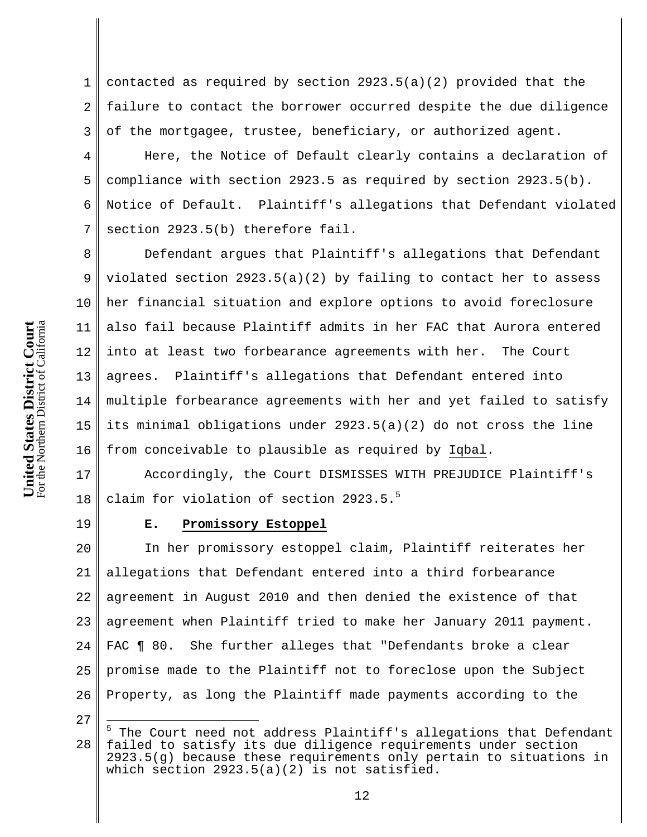1 2 3 contacted as required by section 2923.5(a)(2) provided that the failure to contact the borrower occurred despite the due diligence of the mortgagee, trustee, beneficiary, or authorized agent.

4 5 6 7 Here, the Notice of Default clearly contains a declaration of compliance with section 2923.5 as required by section 2923.5(b). Notice of Default. Plaintiff's allegations that Defendant violated section 2923.5(b) therefore fail.

8 9 10 11 12 13 14 15 16 Defendant argues that Plaintiff's allegations that Defendant violated section  $2923.5(a)(2)$  by failing to contact her to assess her financial situation and explore options to avoid foreclosure also fail because Plaintiff admits in her FAC that Aurora entered into at least two forbearance agreements with her. The Court agrees. Plaintiff's allegations that Defendant entered into multiple forbearance agreements with her and yet failed to satisfy its minimal obligations under 2923.5(a)(2) do not cross the line from conceivable to plausible as required by Iqbal.

17 18 Accordingly, the Court DISMISSES WITH PREJUDICE Plaintiff's claim for violation of section 2923.5.<sup>5</sup>

19

# **E. Promissory Estoppel**

20 21 22 23 24 25 26 In her promissory estoppel claim, Plaintiff reiterates her allegations that Defendant entered into a third forbearance agreement in August 2010 and then denied the existence of that agreement when Plaintiff tried to make her January 2011 payment. FAC **[** 80. She further alleges that "Defendants broke a clear promise made to the Plaintiff not to foreclose upon the Subject Property, as long the Plaintiff made payments according to the

27

 $\overline{a}$ 

<sup>28</sup> <sup>5</sup> The Court need not address Plaintiff's allegations that Defendant failed to satisfy its due diligence requirements under section 2923.5(g) because these requirements only pertain to situations in which section  $2923.5(a)(2)$  is not satisfied.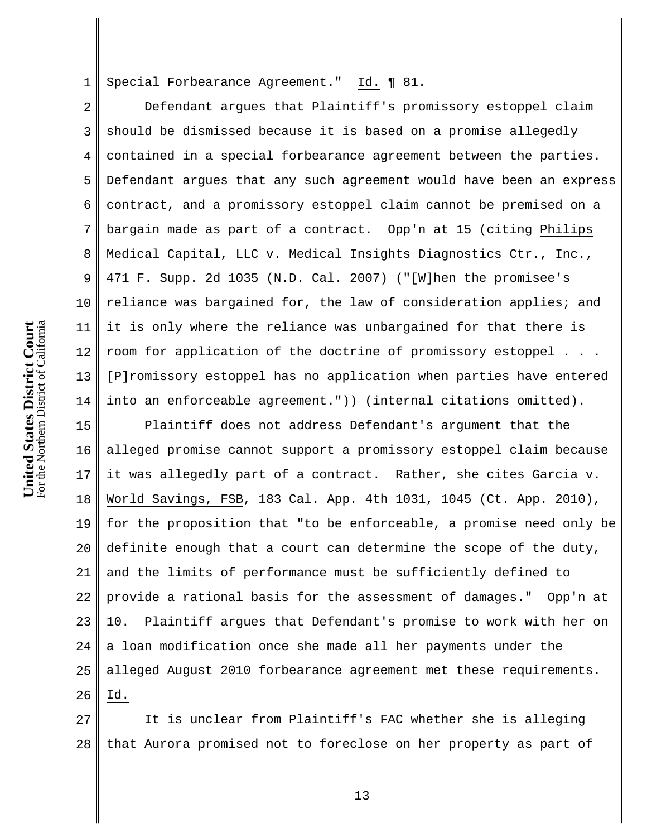1 Special Forbearance Agreement." Id. ¶ 81.

2 3 4 5 6 7 8 9 10 11 12 13 14 Defendant argues that Plaintiff's promissory estoppel claim should be dismissed because it is based on a promise allegedly contained in a special forbearance agreement between the parties. Defendant argues that any such agreement would have been an express contract, and a promissory estoppel claim cannot be premised on a bargain made as part of a contract. Opp'n at 15 (citing Philips Medical Capital, LLC v. Medical Insights Diagnostics Ctr., Inc., 471 F. Supp. 2d 1035 (N.D. Cal. 2007) ("[W]hen the promisee's reliance was bargained for, the law of consideration applies; and it is only where the reliance was unbargained for that there is room for application of the doctrine of promissory estoppel . . . [P]romissory estoppel has no application when parties have entered into an enforceable agreement.")) (internal citations omitted).

15 16 17 18 19 20 21 22 23 24 25 26 Plaintiff does not address Defendant's argument that the alleged promise cannot support a promissory estoppel claim because it was allegedly part of a contract. Rather, she cites Garcia v. World Savings, FSB, 183 Cal. App. 4th 1031, 1045 (Ct. App. 2010), for the proposition that "to be enforceable, a promise need only be definite enough that a court can determine the scope of the duty, and the limits of performance must be sufficiently defined to provide a rational basis for the assessment of damages." Opp'n at 10. Plaintiff argues that Defendant's promise to work with her on a loan modification once she made all her payments under the alleged August 2010 forbearance agreement met these requirements. Id.

27 28 It is unclear from Plaintiff's FAC whether she is alleging that Aurora promised not to foreclose on her property as part of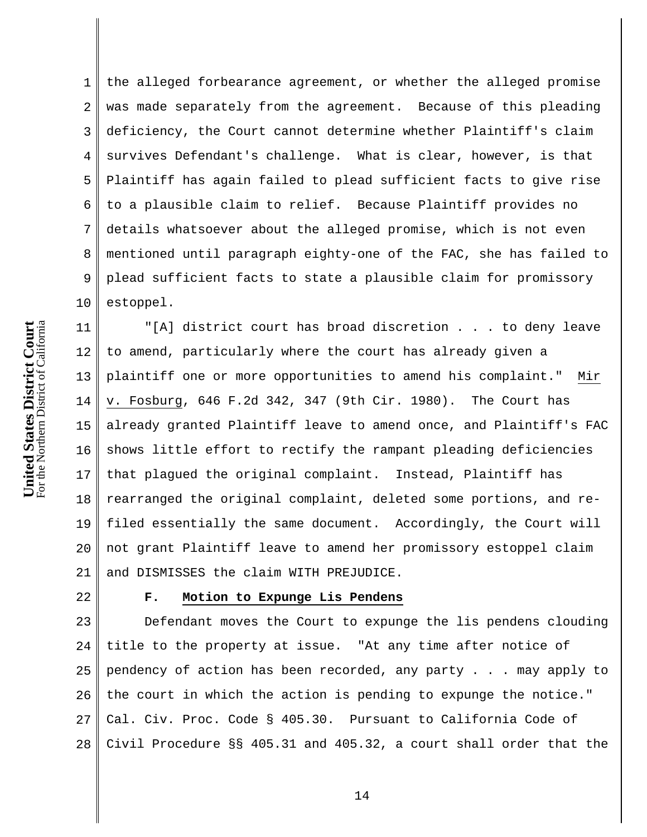1 2 3 4 5 6 7 8 9 10 the alleged forbearance agreement, or whether the alleged promise was made separately from the agreement. Because of this pleading deficiency, the Court cannot determine whether Plaintiff's claim survives Defendant's challenge. What is clear, however, is that Plaintiff has again failed to plead sufficient facts to give rise to a plausible claim to relief. Because Plaintiff provides no details whatsoever about the alleged promise, which is not even mentioned until paragraph eighty-one of the FAC, she has failed to plead sufficient facts to state a plausible claim for promissory estoppel.

11 12 13 14 15 16 17 18 19 20 21 "[A] district court has broad discretion . . . to deny leave to amend, particularly where the court has already given a plaintiff one or more opportunities to amend his complaint." Mir v. Fosburg, 646 F.2d 342, 347 (9th Cir. 1980). The Court has already granted Plaintiff leave to amend once, and Plaintiff's FAC shows little effort to rectify the rampant pleading deficiencies that plagued the original complaint. Instead, Plaintiff has rearranged the original complaint, deleted some portions, and refiled essentially the same document. Accordingly, the Court will not grant Plaintiff leave to amend her promissory estoppel claim and DISMISSES the claim WITH PREJUDICE.

### 22

# **F. Motion to Expunge Lis Pendens**

23 24 25 26 27 28 Defendant moves the Court to expunge the lis pendens clouding title to the property at issue. "At any time after notice of pendency of action has been recorded, any party . . . may apply to the court in which the action is pending to expunge the notice." Cal. Civ. Proc. Code § 405.30. Pursuant to California Code of Civil Procedure §§ 405.31 and 405.32, a court shall order that the